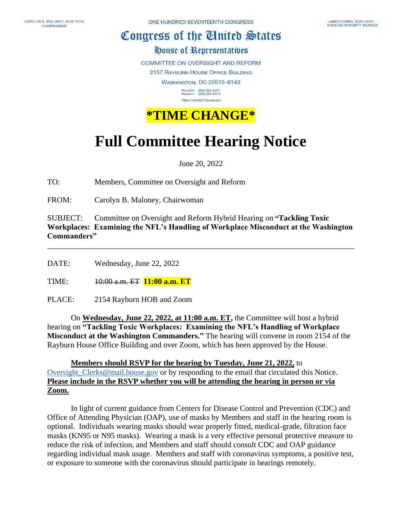## Congress of the Cinited States

House of Representatives

**COMMITTEE ON OVERSIGHT AND REFORM** 

2157 RAYBURN HOUSE OFFICE BUILDING

**WASHINGTON, DC 20515-6143** 

MAJORITY (202) 225-5051<br>MINORITY (202) 225-5074 https://oversight.house.gov



## **Full Committee Hearing Notice**

June 20, 2022

TO: Members, Committee on Oversight and Reform

FROM: Carolyn B. Maloney, Chairwoman

SUBJECT: Committee on Oversight and Reform Hybrid Hearing on **"Tackling Toxic Workplaces: Examining the NFL's Handling of Workplace Misconduct at the Washington Commanders"**

\_\_\_\_\_\_\_\_\_\_\_\_\_\_\_\_\_\_\_\_\_\_\_\_\_\_\_\_\_\_\_\_\_\_\_\_\_\_\_\_\_\_\_\_\_\_\_\_\_\_\_\_\_\_\_\_\_\_\_\_\_\_\_\_\_\_\_\_\_\_\_\_\_\_\_\_\_\_

DATE: Wednesday, June 22, 2022

TIME: 10:00 a.m. ET **11:00 a.m. ET**

PLACE: 2154 Rayburn HOB and Zoom

On **Wednesday, June 22, 2022, at 11:00 a.m. ET,** the Committee will host a hybrid hearing on **"Tackling Toxic Workplaces: Examining the NFL's Handling of Workplace Misconduct at the Washington Commanders."** The hearing will convene in room 2154 of the Rayburn House Office Building and over Zoom, which has been approved by the House.

**Members should RSVP for the hearing by Tuesday, June 21, 2022,** to Oversight Clerks@mail.house.gov or by responding to the email that circulated this Notice. **Please include in the RSVP whether you will be attending the hearing in person or via Zoom.**

In light of current guidance from Centers for Disease Control and Prevention (CDC) and Office of Attending Physician (OAP), use of masks by Members and staff in the hearing room is optional. Individuals wearing masks should wear properly fitted, medical-grade, filtration face masks (KN95 or N95 masks). Wearing a mask is a very effective personal protective measure to reduce the risk of infection, and Members and staff should consult CDC and OAP guidance regarding individual mask usage. Members and staff with coronavirus symptoms, a positive test, or exposure to someone with the coronavirus should participate in hearings remotely.